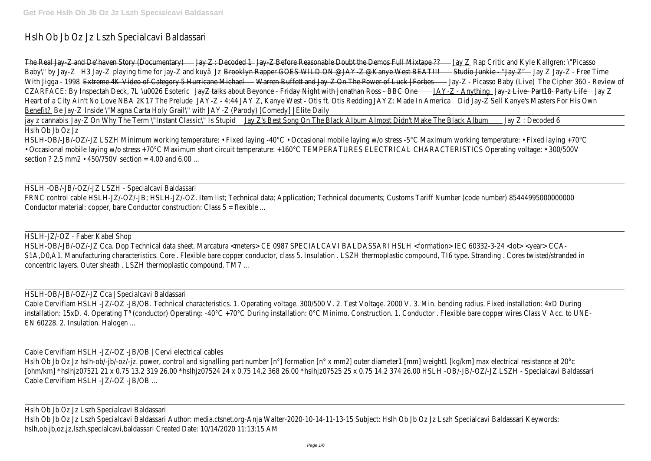# Hslh Ob Jb Oz Jz Lszh Specialcavi Baldassa

|                   | The Real Jay-Z and De'haven Story (Documentary)                                                |              | <b>Example 23</b> Jay Z : Decoded 1 Jay Z Before Reasonable Doubt the Demos Full Mixtape ?? |                       | Jay Z Rap Critic and Kyle Kallgren:         |
|-------------------|------------------------------------------------------------------------------------------------|--------------|---------------------------------------------------------------------------------------------|-----------------------|---------------------------------------------|
| Baby\" by Jay-Z   | H3 Jay-Z playing time for jay-Z and kuya                                                       |              | Jz Brooklyn Rapper GOES WILD ON @JAY-Z @Kanye West BEAT!!!                                  |                       | - Studio Junkie - "Jay Z"<br>— Jay Z        |
| With Jigga - 1998 | Extreme 4K Video of Category 5 Hurricane Michael                                               |              | - Warren Buffett and Jay-Z On The Power of Luck   Forbes-                                   |                       | – Jay-Z - Picasso Baby (Live)<br><b>The</b> |
|                   | CZARFACE: By Inspectah Deck, 7L \u0026 Esoteric                                                |              | JayZ talks about Beyonce - Friday Night with Jonathan Ross - BBC One                        |                       | JAY-Z - Anything Jay-z Live-Part18-P        |
|                   | Heart of a City Ain't No Love NBA 2K17 The Prelude                                             | JAY-Z - 4:44 | JAY Z, Kanye West - Otis ft. Otis Redding                                                   | JAYZ: Made In America | Did Jay-Z Sell Kanye's Masters For          |
|                   | Benefit? Be Jay-Z Inside \"Magna Carta Holy Grail\" with JAY-Z (Parody) [Comedy]   Elite Daily |              |                                                                                             |                       |                                             |
|                   | jay z cannabis Jay-Z On Why The Term \"Instant Classic\" Is Stupid                             |              | Jay Z's Best Song On The Black Album Almost Didn't Make The Black Album                     |                       | Jay Z: Decoded                              |
| Hslh Ob Jb Oz Jz  |                                                                                                |              |                                                                                             |                       |                                             |

HSLH-OB/-JB/-OZ/-JZ LSZH Minimum working temperature: • Fixed laying -40°C • Occasional mobile laying w/o stress -5°C Maximum working temperature: • Fixed layin • Occasional mobile laying w/o stress +70°C Maximum short circuit temperature: +160°C TEMPERATURES ELECTRICAL CHARACTERISTICS Operating voltage: • 30 section ? 2.5 mm2  $\cdot$  450/750V section = 4.00 and 6.00

#### HSLH -OB/-JB/-OZ/-JZ LSZH - Specialcavi Baldassa

FRNC control cable HSLH-JZ/-OZ/-JB; HSLH-JZ/-OZ. Item list; Technical data; Application; Technical documents; Customs Tariff Number (code number) 85444995000 Conductor material: copper, bare Conductor construction: Class  $5 =$  flexible ...

### HSLH-JZ/-OZ - Faber Kabel Shop

HSLH-OB/-JB/-OZ/-JZ Cca. Dop Technical data sheet. Marcatura <meters> CE 0987 SPECIALCAVI BALDASSARI HSLH <formation> IEC 60332-3-24 <lot> <yea S1A,DO,A1. Manufacturing characteristics. Core . Flexible bare copper conductor, class 5. Insulation . LSZH thermoplastic compound, TI6 type. Stranding . Cores twisted/s concentric layers. Outer sheath . LSZH thermoplastic compound, TM

#### HSLH-OB/-JB/-OZ/-JZ Cca | Specialcavi Baldassa

Cable Cerviflam HSLH -JZ/-OZ -JB/OB. Technical characteristics. 1. Operating voltage. 300/500 V. 2. Test Voltage. 2000 V. 3. Min. bending radius. Fixed installation: 4 installation: 15xD. 4. Operating T<sup>a</sup> (conductor) Operating: -40°C +70°C During installation: 0°C Mínimo. Construction. 1. Conductor . Flexible bare copper wires Class V Ac EN 60228. 2. Insulation. Halogen

## Cable Cerviflam HSLH -JZ/-OZ -JB/OB | Cervi electrical cab

Hslh Ob Jb Oz Jz hslh-ob/-jb/-oz/-jz. power, control and signalling part number [n°] formation [n° x mm2] outer diameter1 [mm] weight1 [kg/km] max electrical resistance [ohm/km] \*hslhjz07521 21 x 0.75 13.2 319 26.00 \*hslhjz07524 24 x 0.75 14.2 368 26.00 \*hslhjz07525 25 x 0.75 14.2 374 26.00 HSLH -OB/-JB/-OZ/-JZ LSZH - Specialcavi B Cable Cerviflam HSLH -J7/-07 -JB/OB

Hslh Ob Jb Oz Jz Lszh Specialcavi Baldassa

Hslh Ob Jb Oz Jz Lszh Specialcavi Baldassari Author: media.ctsnet.org-Anja Walter-2020-10-14-11-13-15 Subject: Hslh Ob Jb Oz Jz Lszh Specialcavi Baldassari K hslh,ob,jb,oz,jz,lszh,specialcavi,baldassari Created Date: 10/14/2020 11:13:1!

tic and Kyle Kallgren: \"Picas:  $B$ ay  $Z''$  Jay Z Jay-Z - Free Time aby (Live) The Cipher 360 - Review o Jay-z Live-Part 18-Party Life - Friday Z Kanye's Masters For His Own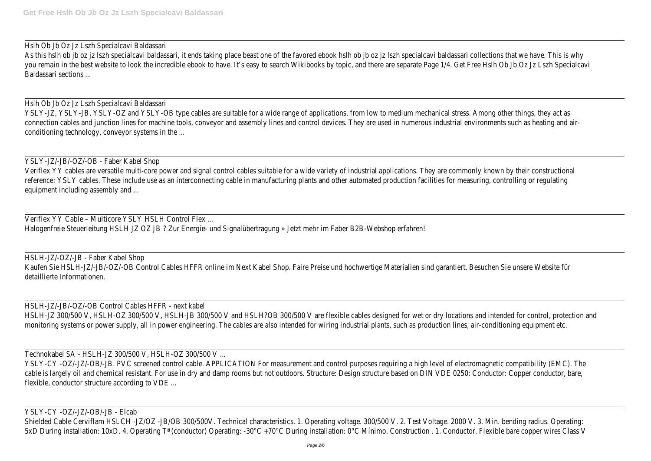## Hslh Ob Jb Oz Jz Lszh Specialcavi Baldassa

As this hslh ob jb oz jz lszh specialcavi baldassari, it ends taking place beast one of the favored ebook hslh ob jb oz jz lszh specialcavi baldassari collections that we have. This hythis hslh ob is whyther is in that why you remain in the best website to look the incredible ebook to have. It's easy to search Wikibooks by topic, and there are separate Page 1/4. Get Free Hslh Ob Jb Oz Jz Lszh S Baldassari sections

## Hslh Ob Jb Oz Jz Lszh Specialcavi Baldassa

YSLY-JZ, YSLY-JB, YSLY-OZ and YSLY-OB type cables are suitable for a wide range of applications, from low to medium mechanical stress. Among other things, th connection cables and junction lines for machine tools, conveyor and assembly lines and control devices. They are used in numerous industrial environments such as heat conditioning technology, conveyor systems in the

### YSLY-JZ/-JB/-OZ/-OB - Faber Kabel Sho

Veriflex YY cables are versatile multi-core power and signal control cables suitable for a wide variety of industrial applications. They are commonly known by their constructions on the structure on the construction of the reference: YSLY cables. These include use as an interconnecting cable in manufacturing plants and other automated production facilities for measuring, controlling or equipment including assembly and

Veriflex YY Cable - Multicore YSLY HSLH Control Flex

Halogenfreie Steuerleitung HSLH JZ OZ JB ? Zur Energie- und Signalübertragung » Jetzt mehr im Faber B2B-Webshop erf

HSLH-JZ/-OZ/-JB - Faber Kabel Shop Kaufen Sie HSLH-JZ/-JB/-OZ/-OB Control Cables HFFR online im Next Kabel Shop. Faire Preise und hochwertige Materialien sind garantiert. Besuchen Sie unsere We detaillierte Informationen

# HSLH-JZ/-JB/-OZ/-OB Control Cables HFFR - next kab

HSLH-JZ 300/500 V, HSLH-0Z 300/500 V, HSLH-JB 300/500 V and HSLH?OB 300/500 V are flexible cables designed for wet or dry locations and intended for control, protection and intended for control, protection and intended for monitoring systems or power supply, all in power engineering. The cables are also intended for wiring industrial plants, such as production lines, air-conditioning equip

## Technokabel SA - HSLH-JZ 300/500 V, HSLH-0Z 300/500 \

YSLY-CY-0Z/-JZ/-OB/-JB. PVC screened control cable. APPLICATION For measurement and control purposes requiring a high level of electromagnetic compatibility (E cable is largely oil and chemical resistant. For use in dry and damp rooms but not outdoors. Structure: Design structure based on DIN VDE 0250: Conductor: Copper condu flexible, conductor structure according to VDE

## YSLY-CY -OZ/-JZ/-OB/-JB - Elcab

Shielded Cable Cerviflam HSLCH -JZ/OZ -JB/OB 300/500V. Technical characteristics. 1. Operating voltage. 300/500 V. 2. Test Voltage. 2000 V. 3. Min. bending radius. C 5xD During installation: 10xD. 4. Operating T<sup>a</sup> (conductor) Operating: -30°C +70°C During installation: 0°C Mínimo. Construction . 1. Conductor. Flexible bare copper wire

| y<br>cavi |  |
|-----------|--|
|           |  |
| r-        |  |
|           |  |
|           |  |
|           |  |
|           |  |
|           |  |
| nd        |  |
| e,        |  |
|           |  |
|           |  |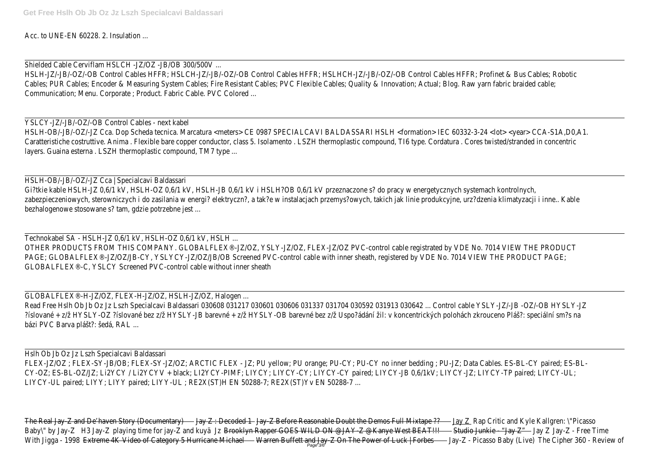Acc. to UNE-EN 60228, 2. Insulation

Shielded Cable Cerviflam HSLCH -JZ/OZ -JB/OB 300/500)

HSLH-JZ/-JB/-OZ/-OB Control Cables HFFR; HSLCH-JZ/-JB/-OZ/-OB Control Cables HFFR; HSLHCH-JZ/-JB/-OZ/-OB Control Cables HFFR; Profinet & Bus Cables; R Cables; PUR Cables; Encoder & Measuring System Cables; Fire Resistant Cables; PVC Flexible Cables; Quality & Innovation; Actual; Blog. Raw yarn fabric braid Communication; Menu. Corporate ; Product. Fabric Cable. PVC Colore

YSLCY-JZ/-JB/-OZ/-OB Control Cables - next kab HSLH-OB/-JB/-OZ/-JZ Cca. Dop Scheda tecnica. Marcatura <meters> CE 0987 SPECIALCAVI BALDASSARI HSLH <formation> IEC 60332-3-24 <lot> <year> CCA-S1 Caratteristiche costruttive. Anima . Flexible bare copper conductor, class 5. Isolamento . LSZH thermoplastic compound, Tl6 type. Cordatura . Cores twisted/stranded in o layers. Guaina esterna . LSZH thermoplastic compound, TM7 typ

HSLH-OB/-JB/-OZ/-JZ Cca | Specialcavi Baldassa Gi?tkie kable HSLH-JZ 0,6/1 kV, HSLH-OZ 0,6/1 kV, HSLH-JB 0,6/1 kV i HSLH?OB 0,6/1 kV przeznaczone s? do pracy w energetycznych systemach kontrol zabezpieczeniowych, sterowniczych i do zasilania w energi? elektryczn?, a tak?e w instalacjach przemys?owych, takich jak linie produkcyjne, urz?dzenia klimatyzacji i i bezhalogenowe stosowane s? tam, gdzie potrzebne jest

Technokabel SA - HSLH-JZ 0,6/1 kV, HSLH-OZ 0,6/1 kV, HSLH OTHER PRODUCTS FROM THIS COMPANY. GLOBALFLEX®-JZ/OZ, YSLY-JZ/OZ, FLEX-JZ/OZ PVC-control cable registrated by VDE No. 7014 VIEW THE PR PAGE; GLOBALFLEX®-JZ/OZ/JB-CY, YSLYCY-JZ/OZ/JB/OB Screened PVC-control cable with inner sheath, registered by VDE No. 7014 VIEW THE PRODUC GLOBALFLEX®-C, YSLCY Screened PVC-control cable without inner she

GLOBALFLEX®-H-JZ/OZ, FLEX-H-JZ/OZ, HSLH-JZ/OZ, Halogen Read Free Hslh Ob Jb Oz Jz Lszh Specialcavi Baldassari 030608 031217 030601 030606 031337 031704 030592 031913 030642 ... Control cable YSLY-JZ/-JB -OZ/-OB H ?íslované + z/ž HYSLY-OZ ?íslované bez z/ž HYSLY-JB barevné + z/ž HYSLY-OB barevné bez z/ž Uspo?ádání žil: v koncentrických polohách zkrouceno Pláš?: speciální bázi PVC Barva plášt?: šedá, RAL

Hslh Ob Jb Oz Jz Lszh Specialcavi Baldassa FLEX-JZ/OZ ; FLEX-SY-JB/OB; FLEX-SY-JZ/OZ; ARCTIC FLEX - JZ; PU yellow; PU orange; PU-CY; PU-CY no inner bedding ; PU-JZ; Data Cables. ES-BL-CY paired; ES-BL-CY-OZ; ES-BL-OZ/JZ; LI2YCY / LI2YCYV + black; LI2YCY-PIMF; LIYCY; LIYCY-CY; LIYCY-CY paired; LIYCY-JB 0,6/1kV; LIYCY-JZ; LIYCY-TP paired; LI LIYCY-UL paired; LIYY; LIYY paired; LIYY-UL ; RE2X(ST)H EN 50288-7; RE2X(ST)Yv EN 50288

|                   | The Real Jay-Z and De'haven Story (Documentary) — | - Jay Z : Decoded 1 ---- Jay-Z Before Reasonable Doubt the Demos Full Mixtape ??- | - <u>Jay Z _</u> Rap Critic and Kyle Kallgren: \"Picasso |                                                                         |
|-------------------|---------------------------------------------------|-----------------------------------------------------------------------------------|----------------------------------------------------------|-------------------------------------------------------------------------|
| Baby\" by Jay-Z   | H3 Jay-Z playing time for jay-Z and kuyä          | Jz Brooklyn Rapper GOES WILD ON @JAY-Z @Kanye West BEAT!!!                        |                                                          | - <del>Studio Junkie - "Jay Z" - - - - J</del> ay Z - Jay-Z - Free Time |
| With Jigga - 1998 | Extreme 4K Video of Category 5 Hurricane Michael  | - Warren Buffett and Jay-Z On The Power of Luck   Forbes                          | - Jay-Z - Picasso Baby (Live)                            | The Cipher 360 - Review                                                 |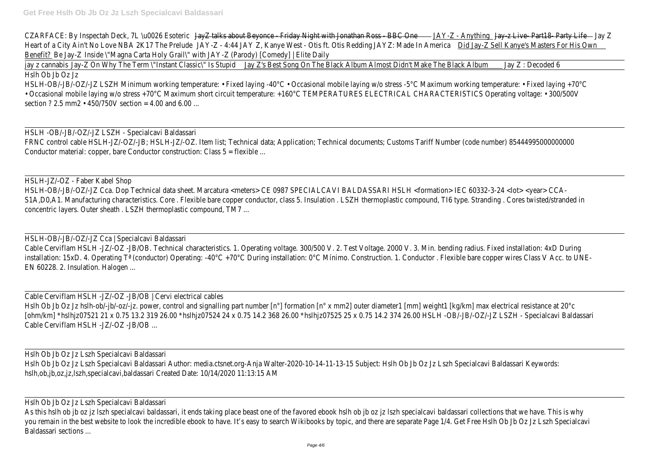| CZARFACE: By Inspectah Deck, 7L \u0026 Esoteric                                                | JayZ talks about Beyonce - Friday Night with Jonathan Ross - BBC One -         |                       | <sub>-</sub> <del>Jay-z Live- Part18- F</del><br><u> JAY-Z - Anything I</u> |
|------------------------------------------------------------------------------------------------|--------------------------------------------------------------------------------|-----------------------|-----------------------------------------------------------------------------|
| Heart of a City Ain't No Love NBA 2K17 The Prelude                                             | JAY-Z - 4:44 JAY Z, Kanye West - Otis ft. Otis Redding                         | JAYZ: Made In America | <u> Did Jay-Z Sell Kanye's Masters For</u>                                  |
| Benefit? Be Jay-Z Inside \"Magna Carta Holy Grail\" with JAY-Z (Parody) [Comedy]   Elite Daily |                                                                                |                       |                                                                             |
| jay z cannabis Jay-Z On Why The Term \"Instant Classic\" Is Stupid                             | <u>Jay Z's Best Song On The Black Album Almost Didn't Make The Black Album</u> |                       | Jay Z: Decoded                                                              |

Hslh Ob Jb Oz Jz

HSLH-OB/-JB/-OZ/-JZ LSZH Minimum working temperature: • Fixed laying -40°C • Occasional mobile laying w/o stress -5°C Maximum working temperature: • Fixed layin • Occasional mobile laying w/o stress +70°C Maximum short circuit temperature: +160°C TEMPERATURES ELECTRICAL CHARACTERISTICS Operating voltage: • 30 section ? 2.5 mm2  $\cdot$  450/750V section = 4.00 and 6.00

## HSLH -OB/-JB/-OZ/-JZ LSZH - Specialcavi Baldassa

FRNC control cable HSLH-JZ/-OZ/-JB; HSLH-JZ/-OZ. Item list; Technical data; Application; Technical documents; Customs Tariff Number (code number) 85444995000 Conductor material: copper, bare Conductor construction: Class  $5 =$  flexible ...

### HSLH-JZ/-OZ - Faber Kabel Sho

HSLH-OB/-JB/-OZ/-JZ Cca. Dop Technical data sheet. Marcatura <meters> CE 0987 SPECIALCAVI BALDASSARI HSLH <formation> IEC 60332-3-24 <lot> <year> CCA-S1A,DO,A1. Manufacturing characteristics. Core . Flexible bare copper conductor, class 5. Insulation . LSZH thermoplastic compound, TI6 type. Stranding . Cores twisted/s concentric layers. Outer sheath . LSZH thermoplastic compound, TM

HSLH-OB/-JB/-OZ/-JZ Cca | Specialcavi Baldassa

Cable Cerviflam HSLH -JZ/-OZ -JB/OB. Technical characteristics. 1. Operating voltage. 300/500 V. 2. Test Voltage. 2000 V. 3. Min. bending radius. Fixed installation: 4 installation: 15xD. 4. Operating T<sup>a</sup> (conductor) Operating: -40°C +70°C During installation: 0°C Mínimo. Construction. 1. Conductor . Flexible bare copper wires Class V Ac EN 60228. 2. Insulation. Halogen

Cable Cerviflam HSLH -JZ/-OZ -JB/OB | Cervi electrical cab

Hslh Ob Jb Oz Jz hslh-ob/-jb/-oz/-jz. power, control and signalling part number [n°] formation [n° x mm2] outer diameter1 [mm] weight1 [kg/km] max electrical resistance [ohm/km] \*hslhjz07521 21 x 0.75 13.2 319 26.00 \*hslhjz07524 24 x 0.75 14.2 368 26.00 \*hslhjz07525 25 x 0.75 14.2 374 26.00 HSLH -OB/-JB/-OZ/-JZ LSZH - Specialcavi B Cable Cerviflam HSLH -JZ/-OZ -JB/OB

# Hslh Ob Jb Oz Jz Lszh Specialcavi Baldassa

Hslh Ob Jb Oz Jz Lszh Specialcavi Baldassari Author: media.ctsnet.org-Anja Walter-2020-10-14-11-13-15 Subject: Hslh Ob Jb Oz Jz Lszh Specialcavi Baldassari K hslh,ob,jb,oz,jz,lszh,specialcavi,baldassari Created Date: 10/14/2020 11:13:1

Hslh Ob Jb Oz Jz Lszh Specialcavi Baldassa

As this hslh ob jb oz jz lszh specialcavi baldassari, it ends taking place beast one of the favored ebook hslh ob jb oz jz lszh specialcavi baldassari collections that we have. This hythis hslh ob is whyther is in that why you remain in the best website to look the incredible ebook to have. It's easy to search Wikibooks by topic, and there are separate Page 1/4. Get Free Hslh Ob Jb Oz Jz Lszh S Baldassari sections ...

Jay-z Live- Part18- Party Life - Friday Z Kanve's Masters For His Own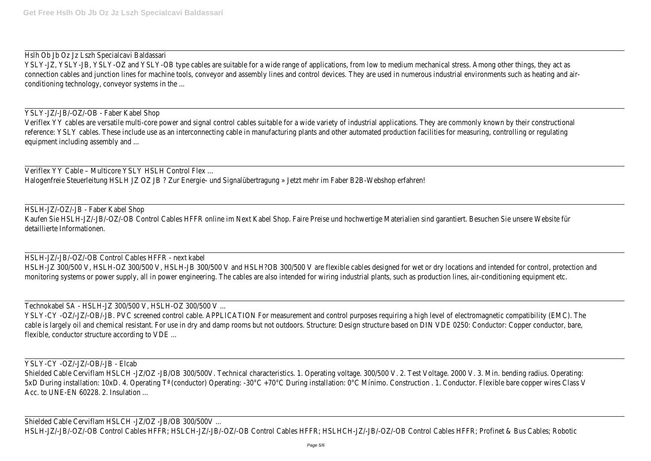## Hslh Ob Jb Oz Jz Lszh Specialcavi Baldassa

YSLY-JZ, YSLY-JB, YSLY-OZ and YSLY-OB type cables are suitable for a wide range of applications, from low to medium mechanical stress. Among other things, th connection cables and junction lines for machine tools, conveyor and assembly lines and control devices. They are used in numerous industrial environments such as heat conditioning technology, conveyor systems in the

YSLY-JZ/-JB/-OZ/-OB - Faber Kabel Sho

Veriflex YY cables are versatile multi-core power and signal control cables suitable for a wide variety of industrial applications. They are commonly known by their constructions on the metal of the metal of the metal of t reference: YSLY cables. These include use as an interconnecting cable in manufacturing plants and other automated production facilities for measuring, controlling or equipment including assembly and

Veriflex YY Cable - Multicore YSLY HSLH Control Flex Halogenfreie Steuerleitung HSLH JZ OZ JB ? Zur Energie- und Signalübertragung » Jetzt mehr im Faber B2B-Webshop erf

# HSLH-JZ/-OZ/-JB - Faber Kabel Shop

Kaufen Sie HSLH-JZ/-JB/-OZ/-OB Control Cables HFFR online im Next Kabel Shop. Faire Preise und hochwertige Materialien sind garantiert. Besuchen Sie unsere We detaillierte Informationen

## HSLH-JZ/-JB/-OZ/-OB Control Cables HFFR - next kab

HSLH-JZ 300/500 V, HSLH-0Z 300/500 V, HSLH-JB 300/500 V and HSLH?OB 300/500 V are flexible cables designed for wet or dry locations and intended for control, protection and intended for control, protection and intended for monitoring systems or power supply, all in power engineering. The cables are also intended for wiring industrial plants, such as production lines, air-conditioning equipment equipment equipment etc...

# Technokabel SA - HSLH-JZ 300/500 V, HSLH-0Z 300/500 \

YSLY-CY-0Z/-JZ/-OB/-JB. PVC screened control cable. APPLICATION For measurement and control purposes requiring a high level of electromagnetic compatibility (E cable is largely oil and chemical resistant. For use in dry and damp rooms but not outdoors. Structure: Design structure based on DIN VDE 0250: Conductor: Copper condu flexible, conductor structure according to VDE

# YSLY-CY -OZ/-JZ/-OB/-JB - Elcab

Shielded Cable Cerviflam HSLCH -JZ/OZ -JB/OB 300/500V. Technical characteristics. 1. Operating voltage. 300/500 V. 2. Test Voltage. 2000 V. 3. Min. bending radius. Operational characteristics. 1. Operating voltage. 300/500 5xD During installation: 10xD. 4. Operating T<sup>a</sup> (conductor) Operating: -30°C +70°C During installation: 0°C Mínimo. Construction . 1. Conductor. Flexible bare copper wire Acc. to UNE-EN 60228, 2. Insulation

Shielded Cable Cerviflam HSLCH -JZ/OZ -JB/OB 300/500V HSLH-JZ/-JB/-OZ/-OB Control Cables HFFR; HSLCH-JZ/-JB/-OZ/-OB Control Cables HFFR; HSLHCH-JZ/-JB/-OZ/-OB Control Cables HFFR; Profinet & Bus Cables; I

| r-<br>nd<br>e, |
|----------------|
|                |
|                |
|                |
|                |
|                |
|                |
|                |
|                |
|                |
|                |
|                |
|                |
|                |
|                |
|                |